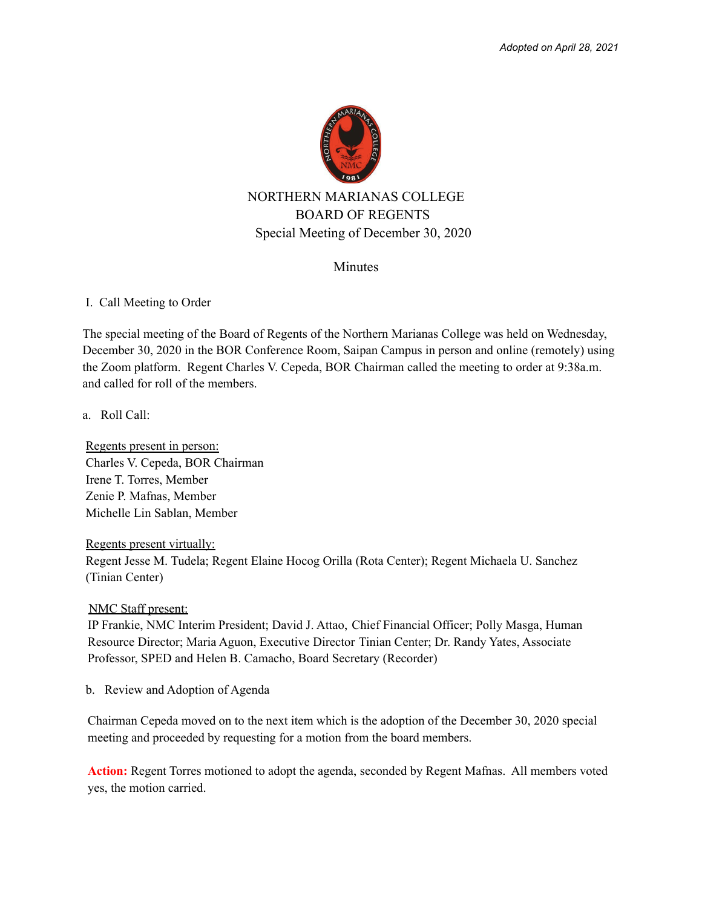

## **Minutes**

## I. Call Meeting to Order

The special meeting of the Board of Regents of the Northern Marianas College was held on Wednesday, December 30, 2020 in the BOR Conference Room, Saipan Campus in person and online (remotely) using the Zoom platform. Regent Charles V. Cepeda, BOR Chairman called the meeting to order at 9:38a.m. and called for roll of the members.

a. Roll Call:

Regents present in person: Charles V. Cepeda, BOR Chairman Irene T. Torres, Member Zenie P. Mafnas, Member Michelle Lin Sablan, Member

Regents present virtually:

Regent Jesse M. Tudela; Regent Elaine Hocog Orilla (Rota Center); Regent Michaela U. Sanchez (Tinian Center)

NMC Staff present:

IP Frankie, NMC Interim President; David J. Attao, Chief Financial Officer; Polly Masga, Human Resource Director; Maria Aguon, Executive Director Tinian Center; Dr. Randy Yates, Associate Professor, SPED and Helen B. Camacho, Board Secretary (Recorder)

b. Review and Adoption of Agenda

Chairman Cepeda moved on to the next item which is the adoption of the December 30, 2020 special meeting and proceeded by requesting for a motion from the board members.

**Action:** Regent Torres motioned to adopt the agenda, seconded by Regent Mafnas. All members voted yes, the motion carried.